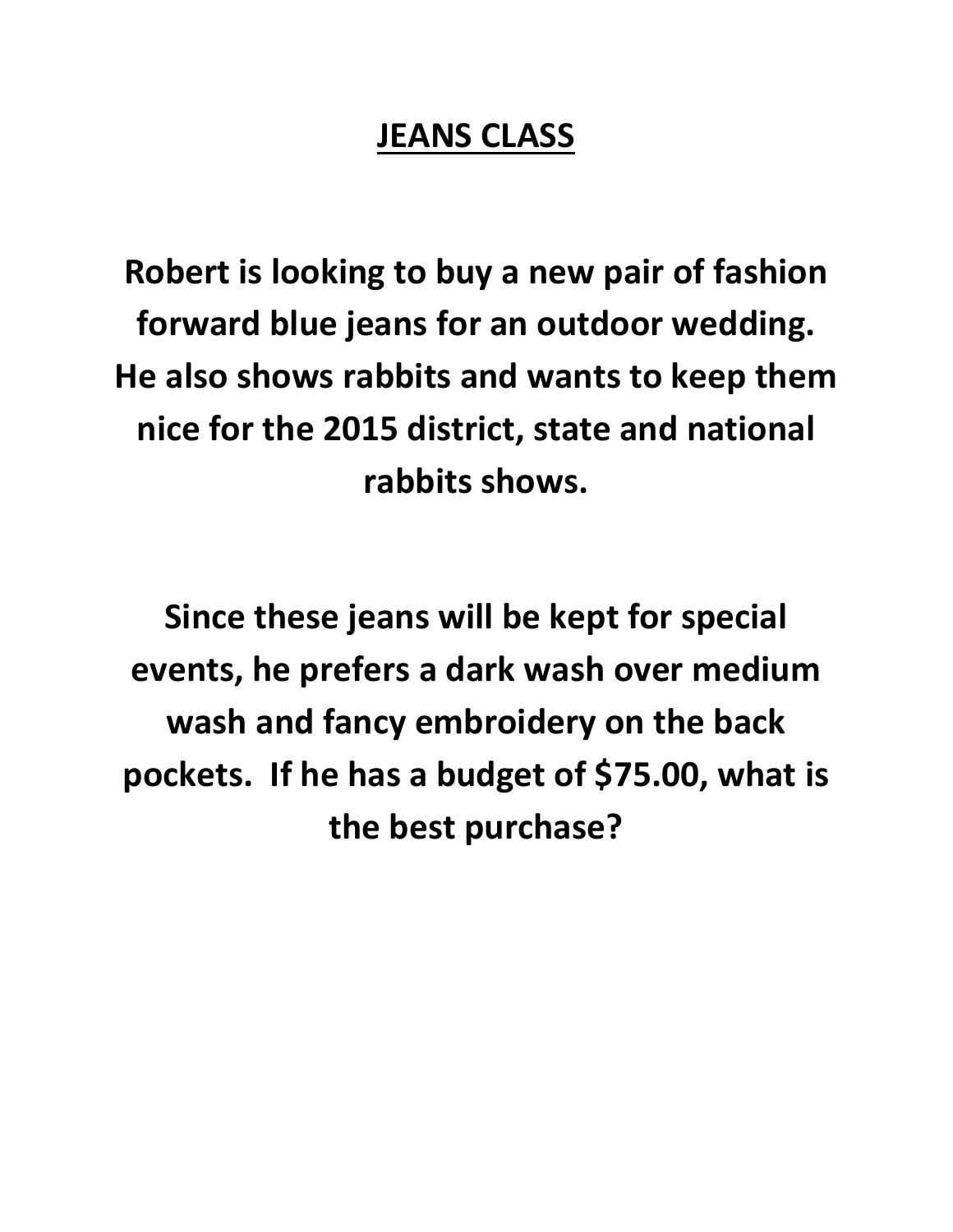## **JEANS CLASS**

**Robert is looking to buy a new pair of fashion forward blue jeans for an outdoor wedding. He also shows rabbits and wants to keep them nice for the 2015 district, state and national rabbits shows.** 

**Since these jeans will be kept for special events, he prefers a dark wash over medium wash and fancy embroidery on the back pockets. If he has a budget of \$75.00, what is the best purchase?**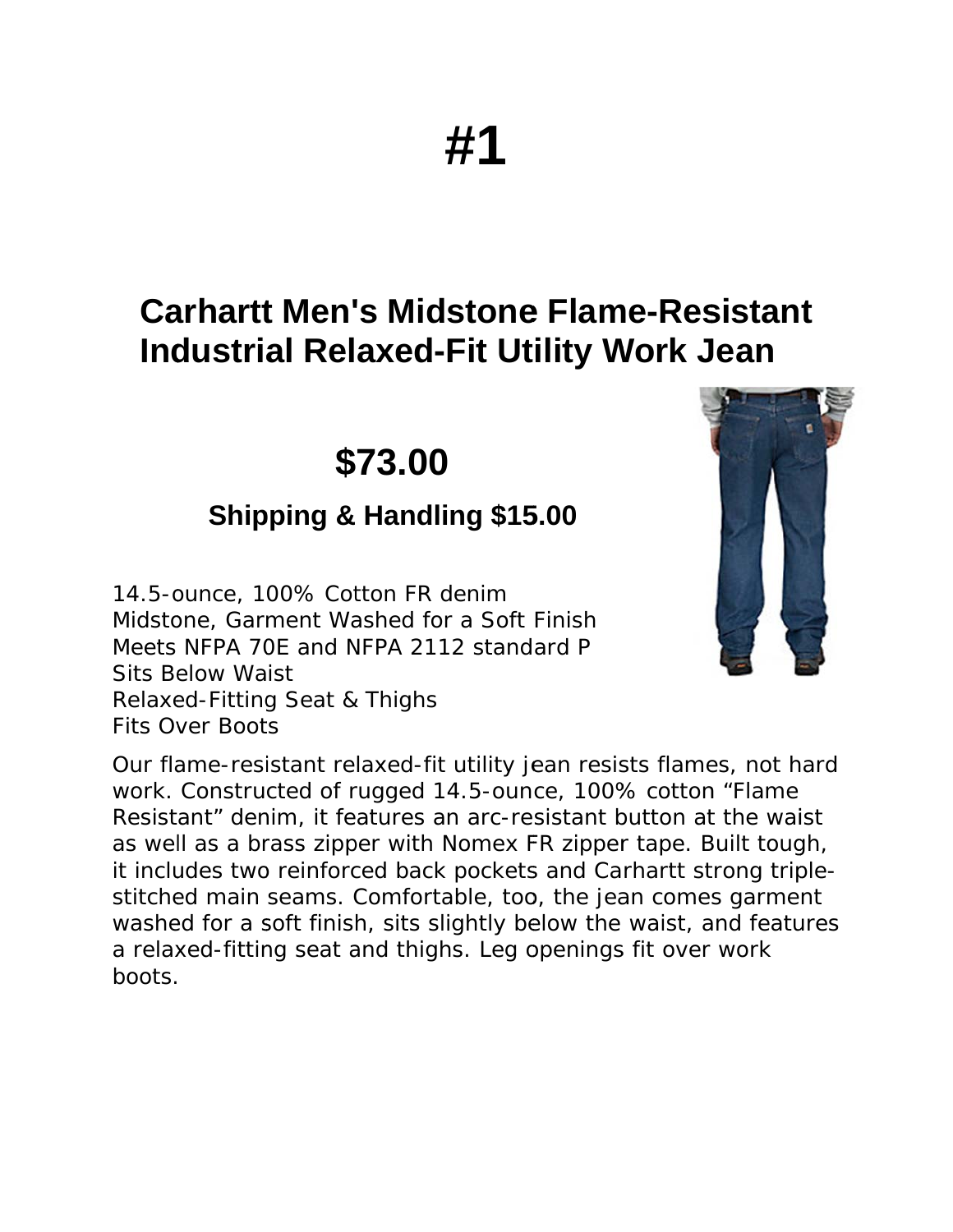# #1

## **Carhartt Men's Midstone Flame-Resistant Industrial Relaxed-Fit Utility Work Jean**

\$73.00

#### **Shipping & Handling \$15.00**

14.5-ounce, 100% Cotton FR denim Midstone, Garment Washed for a Soft Finish Meets NFPA 70E and NFPA 2112 standard P **Sits Below Waist** Relaxed-Fitting Seat & Thighs **Fits Over Boots** 



Our flame-resistant relaxed-fit utility jean resists flames, not hard work. Constructed of rugged 14.5-ounce, 100% cotton "Flame" Resistant" denim, it features an arc-resistant button at the waist as well as a brass zipper with Nomex FR zipper tape. Built tough, it includes two reinforced back pockets and Carhartt strong triplestitched main seams. Comfortable, too, the jean comes garment washed for a soft finish, sits slightly below the waist, and features a relaxed-fitting seat and thighs. Leg openings fit over work boots.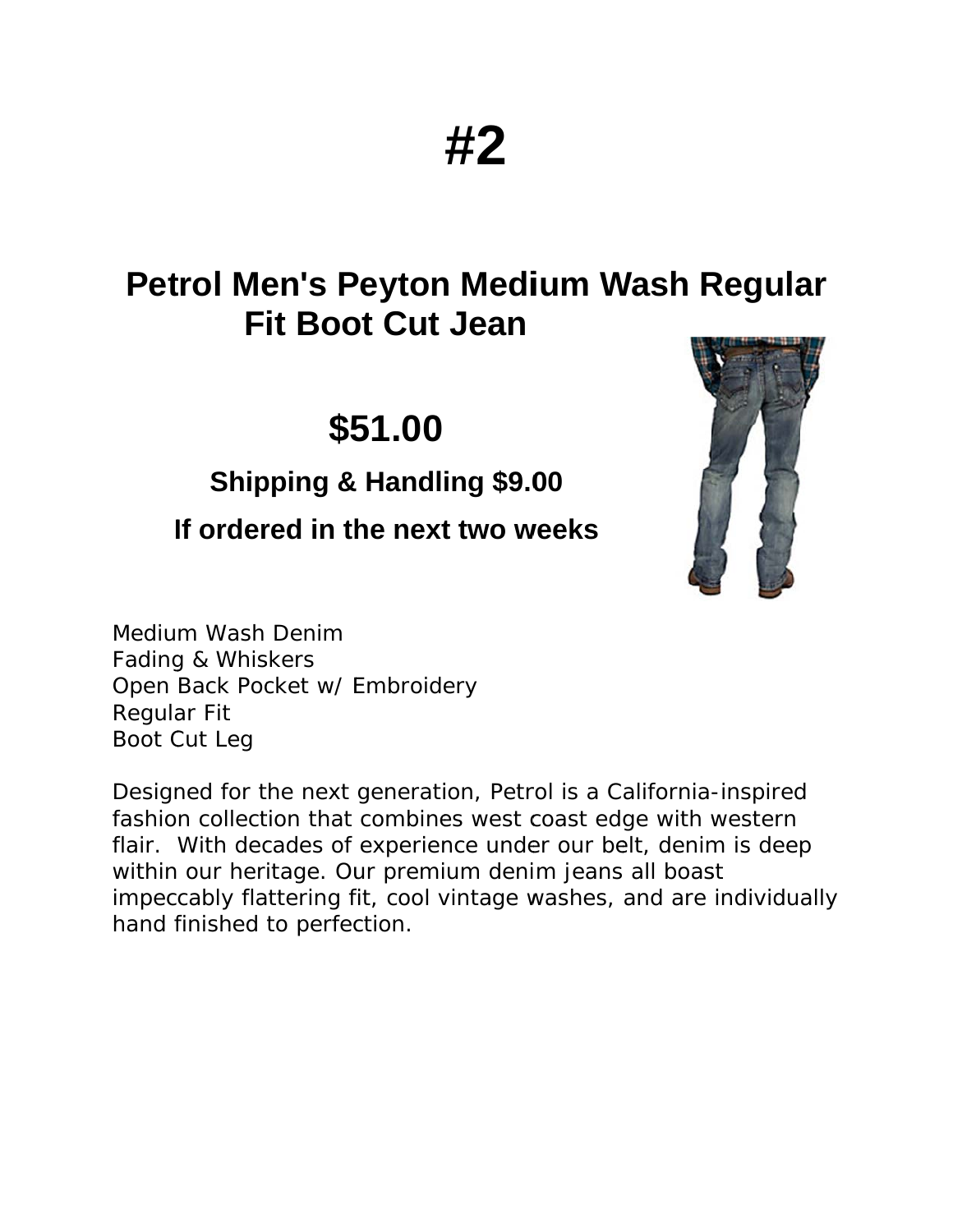## **Petrol Men's Peyton Medium Wash Regular Fit Boot Cut Jean**

## \$51.00

#### **Shipping & Handling \$9.00**

#### If ordered in the next two weeks



Medium Wash Denim Fading & Whiskers Open Back Pocket w/ Embroidery **Regular Fit** Boot Cut Leg

Designed for the next generation, Petrol is a California-inspired fashion collection that combines west coast edge with western flair. With decades of experience under our belt, denim is deep within our heritage. Our premium denim jeans all boast impeccably flattering fit, cool vintage washes, and are individually hand finished to perfection.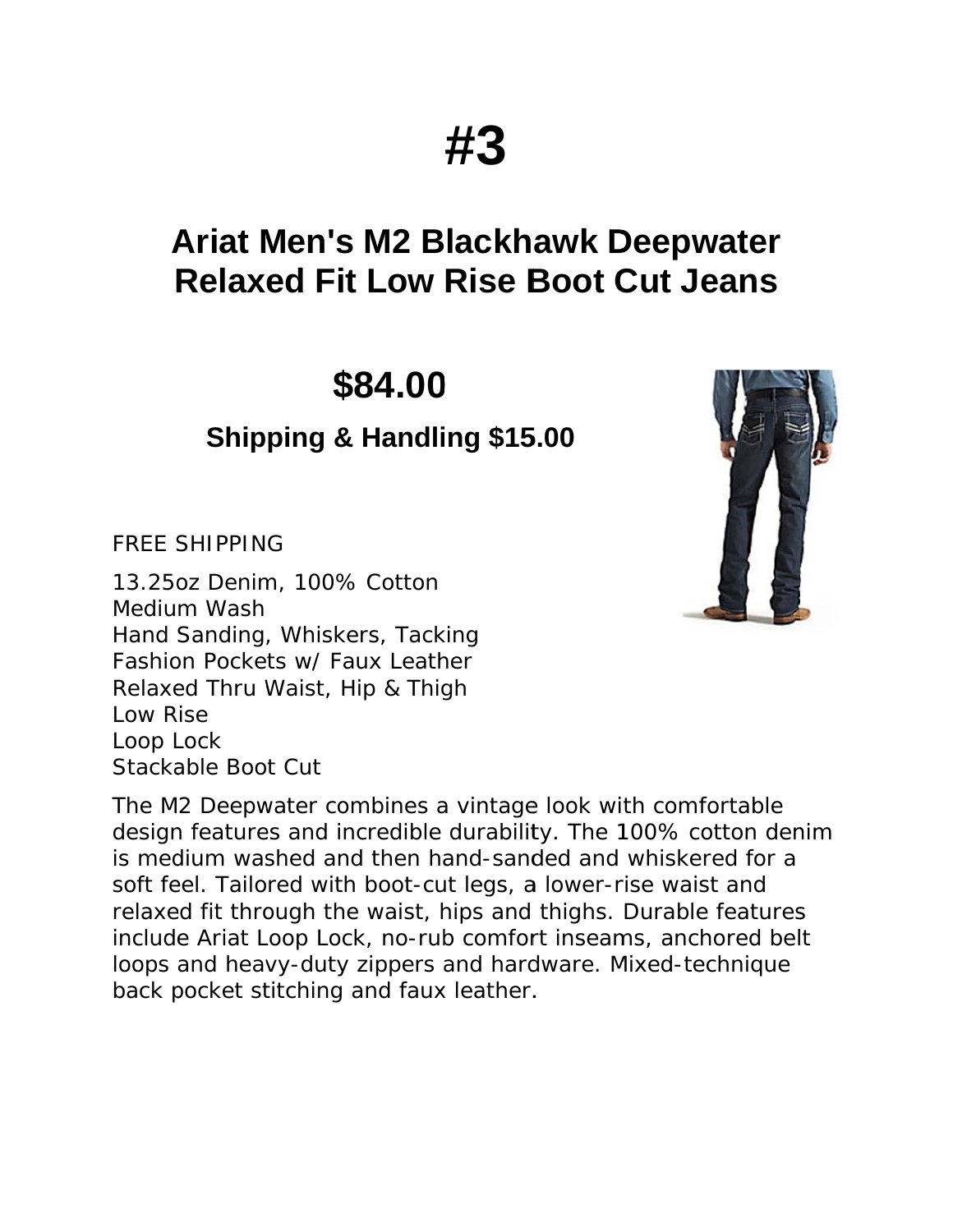## **Ariat Men's M2 Blackhawk Deepwater Relaxed Fit Low Rise Boot Cut Jeans**

\$84.00

#### **Shipping & Handling \$15.00**

**FREE SHIPPING** 

13.25 oz Denim, 100% Cotton Medium Wash Hand Sanding, Whiskers, Tacking Fashion Pockets w/ Faux Leather Relaxed Thru Waist, Hip & Thigh Low Rise Loop Lock Stackable Boot Cut

The M2 Deepwater combines a vintage look with comfortable design features and incredible durability. The 100% cotton denim is medium washed and then hand-sanded and whiskered for a soft feel. Tailored with boot-cut legs, a lower-rise waist and relaxed fit through the waist, hips and thighs. Durable features include Ariat Loop Lock, no-rub comfort inseams, anchored belt loops and heavy-duty zippers and hardware. Mixed-technique back pocket stitching and faux leather.